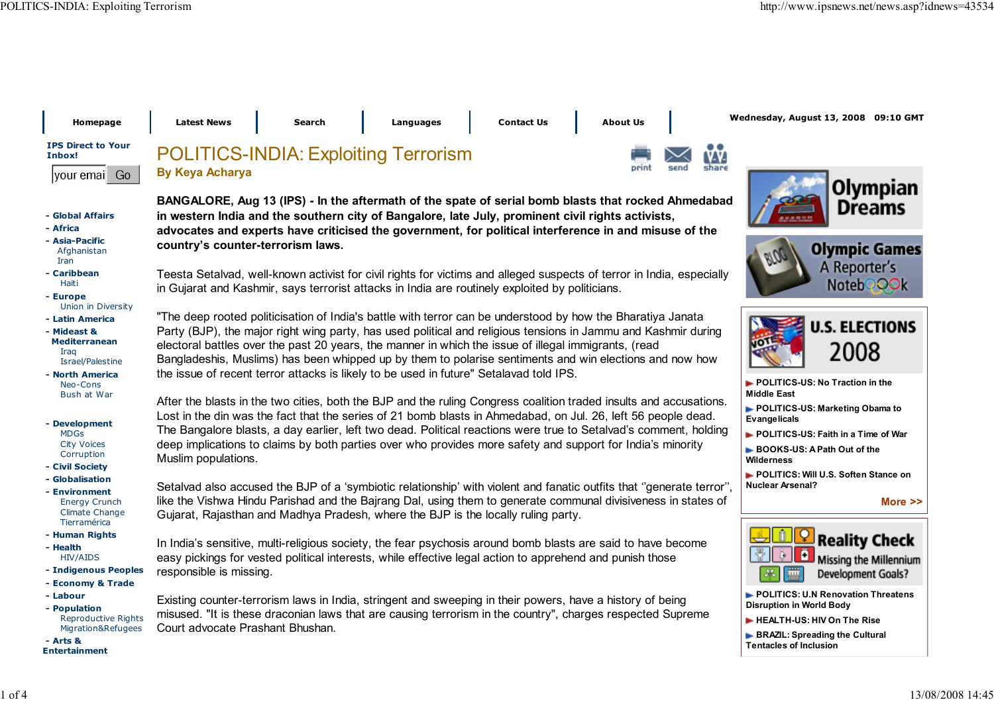Wednesday, August 13, 2008 09:10 GMT

 Homepage Latest News Search Languages Contact Us About Us IPS Direct to YourPOLITICS-INDIA: Exploiting TerrorismInbox!By Keya Acharyayour emai Go - Global Affairs - Africa - Asia-Pacificcountry's counter-terrorism laws. Afghanistan Iran - Caribbean Haitiin Gujarat and Kashmir, says terrorist attacks in India are routinely exploited by politicians. - Europe Union in Diversity - Latin America - Mideast & Mediterranean Iraq Israel/Palestinethe issue of recent terror attacks is likely to be used in future" Setalavad told IPS. - North America Neo-Cons Bush at War - Development MDGs City Voices CorruptionMuslim populations. - Civil Society - Globalisation - Environment Energy Crunch Climate ChangeGujarat, Rajasthan and Madhya Pradesh, where the BJP is the locally ruling party.**Tierramérica**  - Human Rights - Health HIV/AIDS - Indigenous Peoplesresponsible is missing. - Economy & Trade - Labour - Population Reproductive RightsCourt advocate Prashant Bhushan. Migration&Refugees - Arts &Entertainment



More >>

Tentacles of Inclusion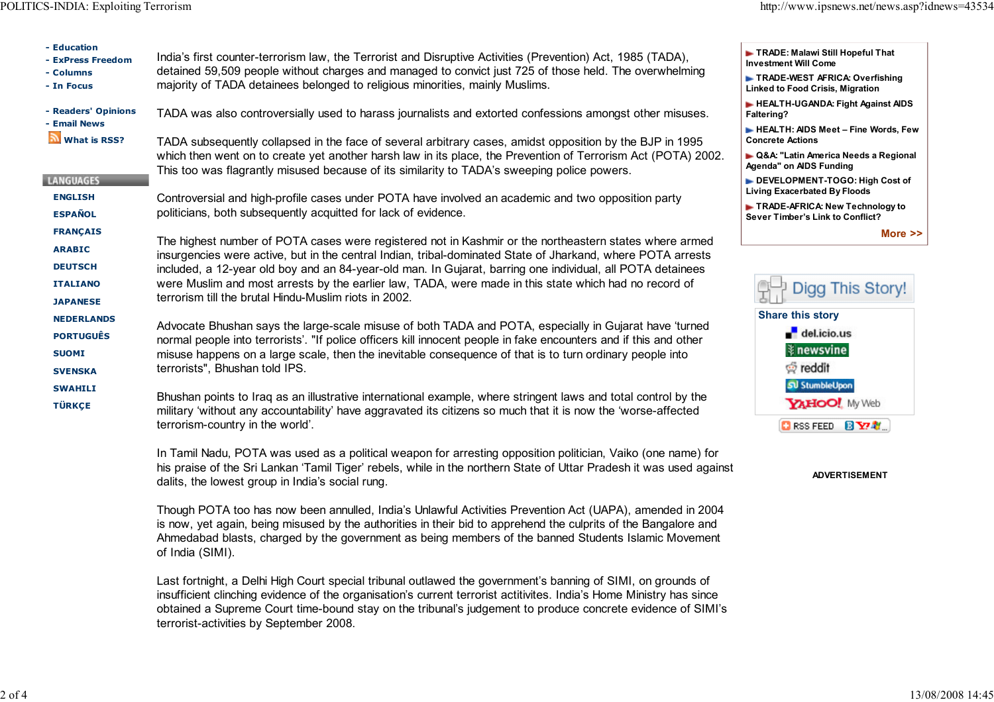| - Education<br>- ExPress Freedom<br>- Columns | India's first counter-terrorism law, the Terrorist and Disruptive Activities (Prevention) Act, 1985 (TADA),<br>detained 59,509 people without charges and managed to convict just 725 of those held. The overwhelming<br>majority of TADA detainees belonged to religious minorities, mainly Muslims.                                                                                                                                                                                                 | TRADE: Malawi Still Hopeful That<br><b>Investment Will Come</b>           |
|-----------------------------------------------|-------------------------------------------------------------------------------------------------------------------------------------------------------------------------------------------------------------------------------------------------------------------------------------------------------------------------------------------------------------------------------------------------------------------------------------------------------------------------------------------------------|---------------------------------------------------------------------------|
| - In Focus                                    |                                                                                                                                                                                                                                                                                                                                                                                                                                                                                                       | TRADE-WEST AFRICA: Overfishing<br><b>Linked to Food Crisis, Migration</b> |
| - Readers' Opinions<br>- Email News           | TADA was also controversially used to harass journalists and extorted confessions amongst other misuses.                                                                                                                                                                                                                                                                                                                                                                                              | HEALTH-UGANDA: Fight Against AIDS<br>Faltering?                           |
| <mark>ज</mark> ो What is RSS?                 | TADA subsequently collapsed in the face of several arbitrary cases, amidst opposition by the BJP in 1995                                                                                                                                                                                                                                                                                                                                                                                              | HEALTH: AIDS Meet - Fine Words, Few<br><b>Concrete Actions</b>            |
|                                               | which then went on to create yet another harsh law in its place, the Prevention of Terrorism Act (POTA) 2002.<br>This too was flagrantly misused because of its similarity to TADA's sweeping police powers.                                                                                                                                                                                                                                                                                          | ► Q&A: "Latin America Needs a Regional<br><b>Agenda</b> " on AIDS Funding |
| <b>LANGUAGES</b>                              |                                                                                                                                                                                                                                                                                                                                                                                                                                                                                                       | DEVELOPMENT-TOGO: High Cost of<br><b>Living Exacerbated By Floods</b>     |
| <b>ENGLISH</b><br><b>ESPAÑOL</b>              | Controversial and high-profile cases under POTA have involved an academic and two opposition party<br>politicians, both subsequently acquitted for lack of evidence.                                                                                                                                                                                                                                                                                                                                  | TRADE-AFRICA: New Technology to<br>Sever Timber's Link to Conflict?       |
| <b>FRANÇAIS</b>                               |                                                                                                                                                                                                                                                                                                                                                                                                                                                                                                       | More $\ge$                                                                |
| <b>ARABIC</b>                                 | The highest number of POTA cases were registered not in Kashmir or the northeastern states where armed<br>insurgencies were active, but in the central Indian, tribal-dominated State of Jharkand, where POTA arrests<br>included, a 12-year old boy and an 84-year-old man. In Gujarat, barring one individual, all POTA detainees<br>were Muslim and most arrests by the earlier law, TADA, were made in this state which had no record of<br>terrorism till the brutal Hindu-Muslim riots in 2002. |                                                                           |
| <b>DEUTSCH</b>                                |                                                                                                                                                                                                                                                                                                                                                                                                                                                                                                       |                                                                           |
| <b>ITALIANO</b>                               |                                                                                                                                                                                                                                                                                                                                                                                                                                                                                                       | Digg This Story!                                                          |
| <b>JAPANESE</b>                               |                                                                                                                                                                                                                                                                                                                                                                                                                                                                                                       | <b>Share this story</b>                                                   |
| <b>NEDERLANDS</b>                             | Advocate Bhushan says the large-scale misuse of both TADA and POTA, especially in Gujarat have 'turned                                                                                                                                                                                                                                                                                                                                                                                                | $\overline{\phantom{a}}$ del.icio.us                                      |
| <b>PORTUGUÊS</b>                              | normal people into terrorists'. "If police officers kill innocent people in fake encounters and if this and other<br>misuse happens on a large scale, then the inevitable consequence of that is to turn ordinary people into<br>terrorists", Bhushan told IPS.                                                                                                                                                                                                                                       | <b>≹</b> newsvine                                                         |
| <b>SUOMI</b><br><b>SVENSKA</b>                |                                                                                                                                                                                                                                                                                                                                                                                                                                                                                                       | pereddit                                                                  |
| <b>SWAHILI</b>                                | Bhushan points to Iraq as an illustrative international example, where stringent laws and total control by the<br>military 'without any accountability' have aggravated its citizens so much that it is now the 'worse-affected<br>terrorism-country in the world'.                                                                                                                                                                                                                                   | <b>SU</b> StumbleUpon                                                     |
| <b>TÜRKÇE</b>                                 |                                                                                                                                                                                                                                                                                                                                                                                                                                                                                                       | YAHOO! My Web                                                             |
|                                               |                                                                                                                                                                                                                                                                                                                                                                                                                                                                                                       | <b>CIRSS FEED 图 Y7 射</b>                                                  |
|                                               | In Tamil Nadu, POTA was used as a political weapon for arresting opposition politician, Vaiko (one name) for<br>his praise of the Sri Lankan 'Tamil Tiger' rebels, while in the northern State of Uttar Pradesh it was used against<br>dalits, the lowest group in India's social rung.                                                                                                                                                                                                               | <b>ADVERTISEMENT</b>                                                      |
|                                               | Though POTA too has now been annulled, India's Unlawful Activities Prevention Act (UAPA), amended in 2004<br>is now, yet again, being misused by the authorities in their bid to apprehend the culprits of the Bangalore and<br>Ahmedabad blasts, charged by the government as being members of the banned Students Islamic Movement<br>of India (SIMI).                                                                                                                                              |                                                                           |
|                                               | Last fortnight, a Delhi High Court special tribunal outlawed the government's banning of SIMI, on grounds of<br>insufficient clinching evidence of the organisation's current terrorist actitivites. India's Home Ministry has since<br>obtained a Supreme Court time-bound stay on the tribunal's judgement to produce concrete evidence of SIMI's<br>terrorist-activities by September 2008.                                                                                                        |                                                                           |
|                                               |                                                                                                                                                                                                                                                                                                                                                                                                                                                                                                       |                                                                           |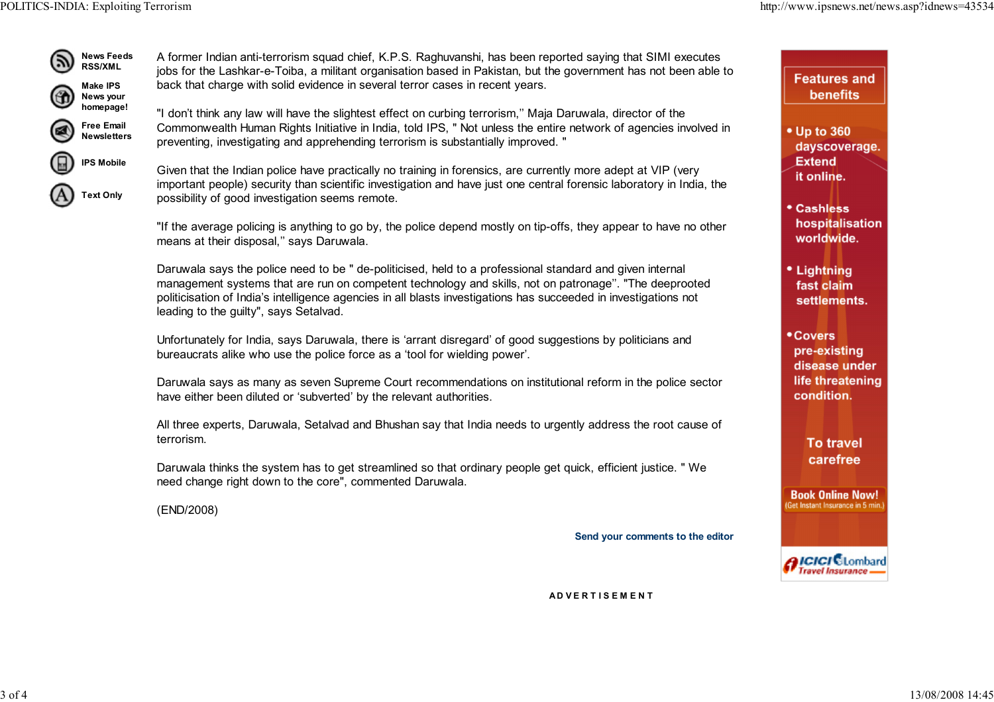

A former Indian anti-terrorism squad chief, K.P.S. Raghuvanshi, has been reported saying that SIMI executes jobs for the Lashkar-e-Toiba, a militant organisation based in Pakistan, but the government has not been able toback that charge with solid evidence in several terror cases in recent years.

"I don't think any law will have the slightest effect on curbing terrorism,'' Maja Daruwala, director of the Commonwealth Human Rights Initiative in India, told IPS, " Not unless the entire network of agencies involved inpreventing, investigating and apprehending terrorism is substantially improved. "

IPS MobileText Only

Given that the Indian police have practically no training in forensics, are currently more adept at VIP (very important people) security than scientific investigation and have just one central forensic laboratory in India, thepossibility of good investigation seems remote.

"If the average policing is anything to go by, the police depend mostly on tip-offs, they appear to have no othermeans at their disposal,'' says Daruwala.

Daruwala says the police need to be " de-politicised, held to a professional standard and given internal management systems that are run on competent technology and skills, not on patronage''. "The deeprootedpoliticisation of India's intelligence agencies in all blasts investigations has succeeded in investigations notleading to the guilty", says Setalvad.

Unfortunately for India, says Daruwala, there is 'arrant disregard' of good suggestions by politicians andbureaucrats alike who use the police force as a 'tool for wielding power'.

Daruwala says as many as seven Supreme Court recommendations on institutional reform in the police sectorhave either been diluted or 'subverted' by the relevant authorities.

All three experts, Daruwala, Setalvad and Bhushan say that India needs to urgently address the root cause ofterrorism.

Daruwala thinks the system has to get streamlined so that ordinary people get quick, efficient justice. " Weneed change right down to the core", commented Daruwala.

(END/2008)

Send your comments to the editor

**Features and benefits** 

• Up to 360 dayscoverage. **Extend** it online.

**• Cashless** hospitalisation worldwide.

• Lightning fast claim settlements.

• Covers pre-existing disease under life threatening condition.

> **To travel** carefree

**Book Online Now!** Get Instant Insurance in 5 min

**AICICI CLombard Travel Insurance** 

A D V E R T I S E M E N T